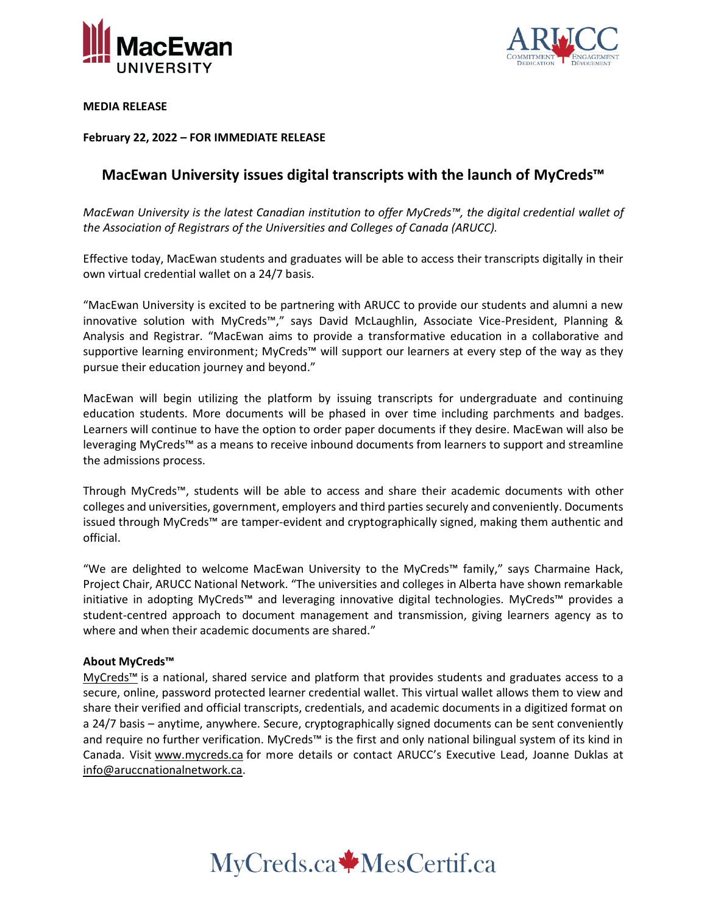



**MEDIA RELEASE**

**February 22, 2022 – FOR IMMEDIATE RELEASE**

## **MacEwan University issues digital transcripts with the launch of MyCreds™**

*MacEwan University is the latest Canadian institution to offer MyCreds™, the digital credential wallet of the Association of Registrars of the Universities and Colleges of Canada (ARUCC).*

Effective today, MacEwan students and graduates will be able to access their transcripts digitally in their own virtual credential wallet on a 24/7 basis.

"MacEwan University is excited to be partnering with ARUCC to provide our students and alumni a new innovative solution with MyCreds™️," says David McLaughlin, Associate Vice-President, Planning & Analysis and Registrar. "MacEwan aims to provide a transformative education in a collaborative and supportive learning environment; MyCreds™ will support our learners at every step of the way as they pursue their education journey and beyond."

MacEwan will begin utilizing the platform by issuing transcripts for undergraduate and continuing education students. More documents will be phased in over time including parchments and badges. Learners will continue to have the option to order paper documents if they desire. MacEwan will also be leveraging MyCreds™️ as a means to receive inbound documents from learners to support and streamline the admissions process.

Through MyCreds™️, students will be able to access and share their academic documents with other colleges and universities, government, employers and third parties securely and conveniently. Documents issued through MyCreds™️ are tamper-evident and cryptographically signed, making them authentic and official.

"We are delighted to welcome MacEwan University to the MyCreds™️ family," says Charmaine Hack, Project Chair, ARUCC National Network. "The universities and colleges in Alberta have shown remarkable initiative in adopting MyCreds™️ and leveraging innovative digital technologies. MyCreds™️ provides a student-centred approach to document management and transmission, giving learners agency as to where and when their academic documents are shared."

#### **About MyCreds™**

[MyCreds™️](https://mycreds.ca/) is a national, shared service and platform that provides students and graduates access to a secure, online, password protected learner credential wallet. This virtual wallet allows them to view and share their verified and official transcripts, credentials, and academic documents in a digitized format on a 24/7 basis – anytime, anywhere. Secure, cryptographically signed documents can be sent conveniently and require no further verification. MyCreds™ is the first and only national bilingual system of its kind in Canada. Visit [www.mycreds.ca](http://www.mycreds.ca/) for more details or contact ARUCC's Executive Lead, Joanne Duklas at [info@aruccnationalnetwork.ca.](mailto:info@aruccnationalnetwork.ca)

# MyCreds.ca MesCertif.ca